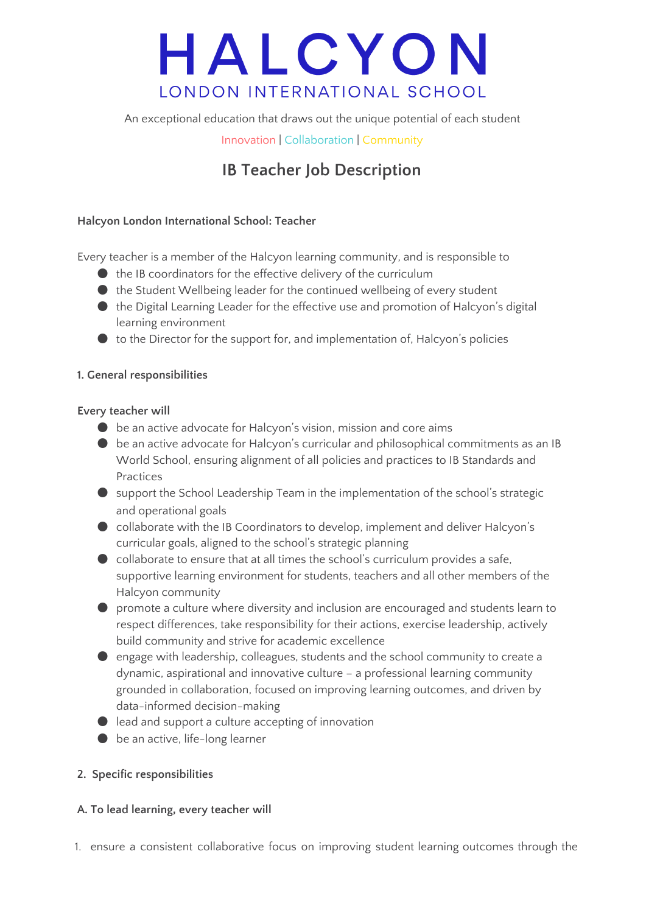# HALCYON LONDON INTERNATIONAL SCHOOL

An exceptional education that draws out the unique potential of each student

Innovation | Collaboration | Community

# **IB Teacher Job Description**

# **Halcyon London International School: Teacher**

Every teacher is a member of the Halcyon learning community, and is responsible to

- $\bullet$  the IB coordinators for the effective delivery of the curriculum
- $\bullet$  the Student Wellbeing leader for the continued wellbeing of every student
- the Digital Learning Leader for the effective use and promotion of Halcyon's digital learning environment
- $\bullet$  to the Director for the support for, and implementation of, Halcyon's policies

## **1. General responsibilities**

#### **Every teacher will**

- $\bullet$  be an active advocate for Halcyon's vision, mission and core aims
- be an active advocate for Halcyon's curricular and philosophical commitments as an IB World School, ensuring alignment of all policies and practices to IB Standards and Practices
- support the School Leadership Team in the implementation of the school's strategic and operational goals
- collaborate with the IB Coordinators to develop, implement and deliver Halcyon's curricular goals, aligned to the school's strategic planning
- $\bullet$  collaborate to ensure that at all times the school's curriculum provides a safe, supportive learning environment for students, teachers and all other members of the Halcyon community
- promote a culture where diversity and inclusion are encouraged and students learn to respect differences, take responsibility for their actions, exercise leadership, actively build community and strive for academic excellence
- engage with leadership, colleagues, students and the school community to create a dynamic, aspirational and innovative culture – a professional learning community grounded in collaboration, focused on improving learning outcomes, and driven by data-informed decision-making
- lead and support a culture accepting of innovation
- $\bullet$  be an active, life-long learner

## **2. Specific responsibilities**

## **A. To lead learning, every teacher will**

1. ensure a consistent collaborative focus on improving student learning outcomes through the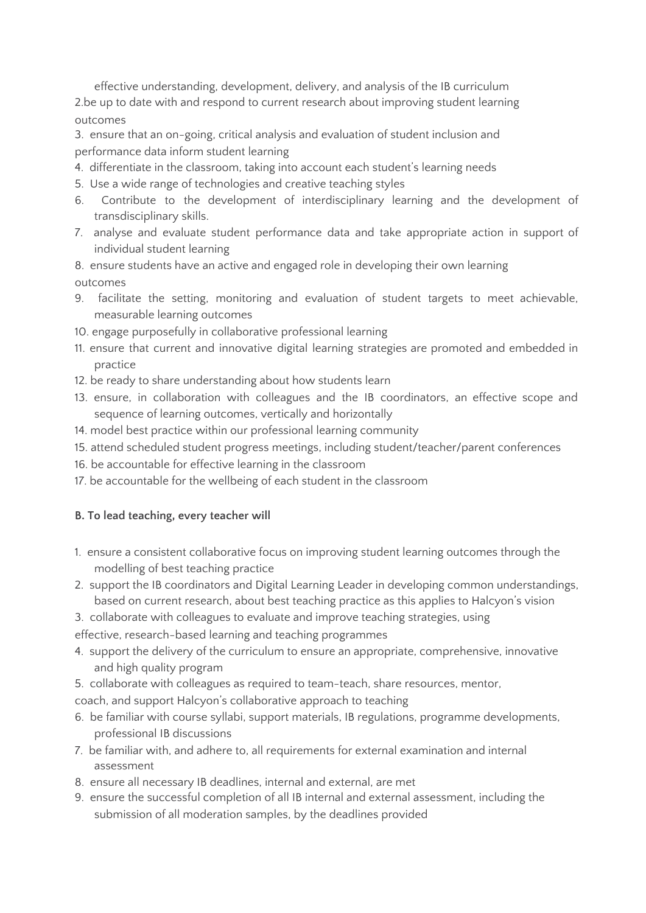effective understanding, development, delivery, and analysis of the IB curriculum 2.be up to date with and respond to current research about improving student learning outcomes

3. ensure that an on-going, critical analysis and evaluation of student inclusion and performance data inform student learning

- 4. differentiate in the classroom, taking into account each student's learning needs
- 5. Use a wide range of technologies and creative teaching styles
- 6. Contribute to the development of interdisciplinary learning and the development of transdisciplinary skills.
- 7. analyse and evaluate student performance data and take appropriate action in support of individual student learning

8. ensure students have an active and engaged role in developing their own learning outcomes

- 9. facilitate the setting, monitoring and evaluation of student targets to meet achievable, measurable learning outcomes
- 10. engage purposefully in collaborative professional learning
- 11. ensure that current and innovative digital learning strategies are promoted and embedded in practice
- 12. be ready to share understanding about how students learn
- 13. ensure, in collaboration with colleagues and the IB coordinators, an effective scope and sequence of learning outcomes, vertically and horizontally
- 14. model best practice within our professional learning community
- 15. attend scheduled student progress meetings, including student/teacher/parent conferences
- 16. be accountable for effective learning in the classroom
- 17. be accountable for the wellbeing of each student in the classroom

## **B. To lead teaching, every teacher will**

- 1. ensure a consistent collaborative focus on improving student learning outcomes through the modelling of best teaching practice
- 2. support the IB coordinators and Digital Learning Leader in developing common understandings, based on current research, about best teaching practice as this applies to Halcyon's vision
- 3. collaborate with colleagues to evaluate and improve teaching strategies, using

effective, research-based learning and teaching programmes

- 4. support the delivery of the curriculum to ensure an appropriate, comprehensive, innovative and high quality program
- 5. collaborate with colleagues as required to team-teach, share resources, mentor,
- coach, and support Halcyon's collaborative approach to teaching
- 6. be familiar with course syllabi, support materials, IB regulations, programme developments, professional IB discussions
- 7. be familiar with, and adhere to, all requirements for external examination and internal assessment
- 8. ensure all necessary IB deadlines, internal and external, are met
- 9. ensure the successful completion of all IB internal and external assessment, including the submission of all moderation samples, by the deadlines provided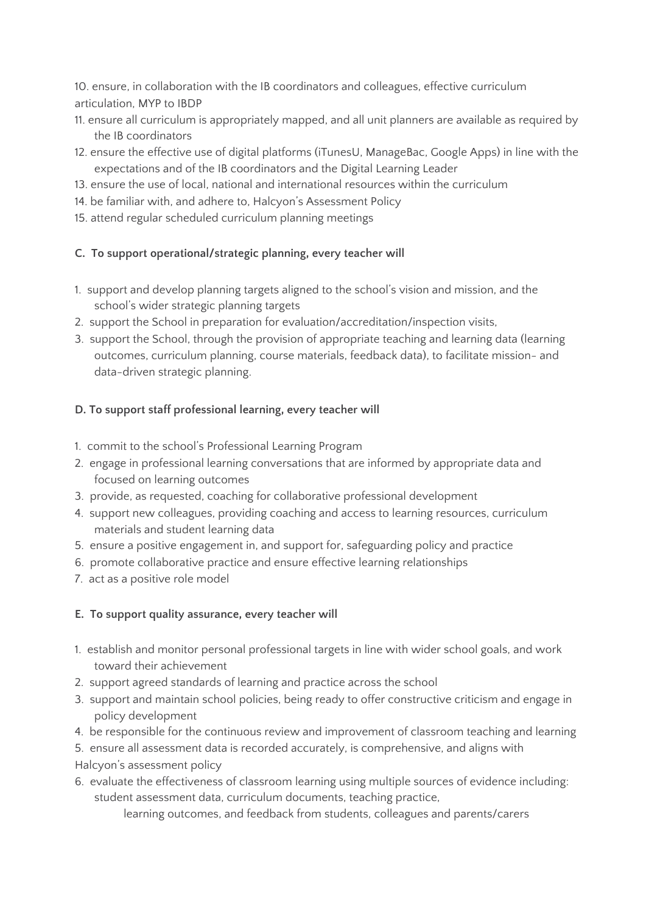10. ensure, in collaboration with the IB coordinators and colleagues, effective curriculum articulation, MYP to IBDP

- 11. ensure all curriculum is appropriately mapped, and all unit planners are available as required by the IB coordinators
- 12. ensure the effective use of digital platforms (iTunesU, ManageBac, Google Apps) in line with the expectations and of the IB coordinators and the Digital Learning Leader
- 13. ensure the use of local, national and international resources within the curriculum
- 14. be familiar with, and adhere to, Halcyon's Assessment Policy
- 15. attend regular scheduled curriculum planning meetings

## **C. To support operational/strategic planning, every teacher will**

- 1. support and develop planning targets aligned to the school's vision and mission, and the school's wider strategic planning targets
- 2. support the School in preparation for evaluation/accreditation/inspection visits,
- 3. support the School, through the provision of appropriate teaching and learning data (learning outcomes, curriculum planning, course materials, feedback data), to facilitate mission- and data-driven strategic planning.

# **D. To support staff professional learning, every teacher will**

- 1. commit to the school's Professional Learning Program
- 2. engage in professional learning conversations that are informed by appropriate data and focused on learning outcomes
- 3. provide, as requested, coaching for collaborative professional development
- 4. support new colleagues, providing coaching and access to learning resources, curriculum materials and student learning data
- 5. ensure a positive engagement in, and support for, safeguarding policy and practice
- 6. promote collaborative practice and ensure effective learning relationships
- 7. act as a positive role model

## **E. To support quality assurance, every teacher will**

- 1. establish and monitor personal professional targets in line with wider school goals, and work toward their achievement
- 2. support agreed standards of learning and practice across the school
- 3. support and maintain school policies, being ready to offer constructive criticism and engage in policy development
- 4. be responsible for the continuous review and improvement of classroom teaching and learning
- 5. ensure all assessment data is recorded accurately, is comprehensive, and aligns with Halcyon's assessment policy
- 6. evaluate the effectiveness of classroom learning using multiple sources of evidence including: student assessment data, curriculum documents, teaching practice,

learning outcomes, and feedback from students, colleagues and parents/carers